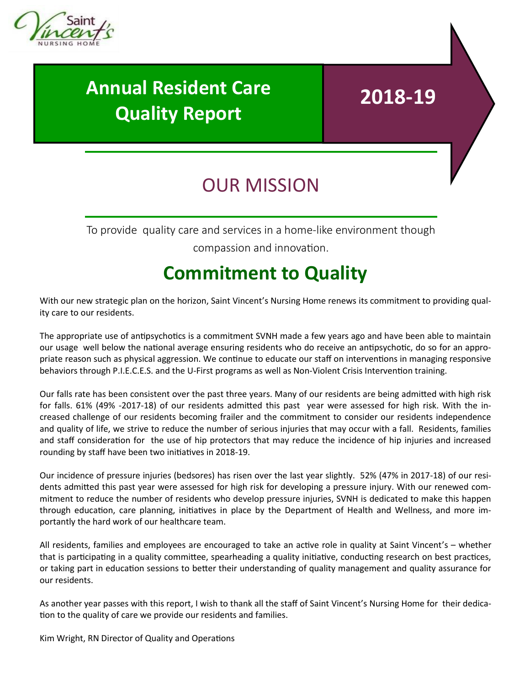

# **Annual Resident Care Quality Report**

#### **2018-19**

# OUR MISSION

To provide quality care and services in a home-like environment though

compassion and innovation.

### **Commitment to Quality**

With our new strategic plan on the horizon, Saint Vincent's Nursing Home renews its commitment to providing quality care to our residents.

The appropriate use of antipsychotics is a commitment SVNH made a few years ago and have been able to maintain our usage well below the national average ensuring residents who do receive an antipsychotic, do so for an appropriate reason such as physical aggression. We continue to educate our staff on interventions in managing responsive behaviors through P.I.E.C.E.S. and the U-First programs as well as Non-Violent Crisis Intervention training.

Our falls rate has been consistent over the past three years. Many of our residents are being admitted with high risk for falls. 61% (49% -2017-18) of our residents admitted this past year were assessed for high risk. With the increased challenge of our residents becoming frailer and the commitment to consider our residents independence and quality of life, we strive to reduce the number of serious injuries that may occur with a fall. Residents, families and staff consideration for the use of hip protectors that may reduce the incidence of hip injuries and increased rounding by staff have been two initiatives in 2018-19.

Our incidence of pressure injuries (bedsores) has risen over the last year slightly. 52% (47% in 2017-18) of our residents admitted this past year were assessed for high risk for developing a pressure injury. With our renewed commitment to reduce the number of residents who develop pressure injuries, SVNH is dedicated to make this happen through education, care planning, initiatives in place by the Department of Health and Wellness, and more importantly the hard work of our healthcare team.

All residents, families and employees are encouraged to take an active role in quality at Saint Vincent's – whether that is participating in a quality committee, spearheading a quality initiative, conducting research on best practices, or taking part in education sessions to better their understanding of quality management and quality assurance for our residents.

As another year passes with this report, I wish to thank all the staff of Saint Vincent's Nursing Home for their dedication to the quality of care we provide our residents and families.

Kim Wright, RN Director of Quality and Operations